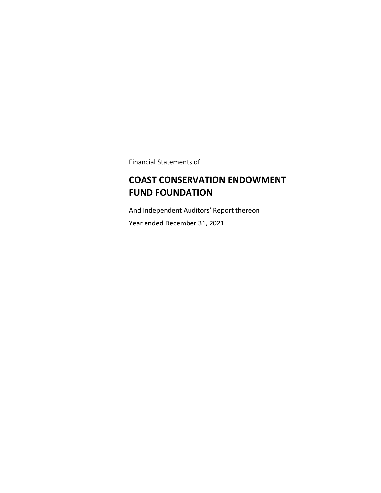Financial Statements of

# **COAST CONSERVATION ENDOWMENT FUND FOUNDATION**

And Independent Auditors' Report thereon Year ended December 31, 2021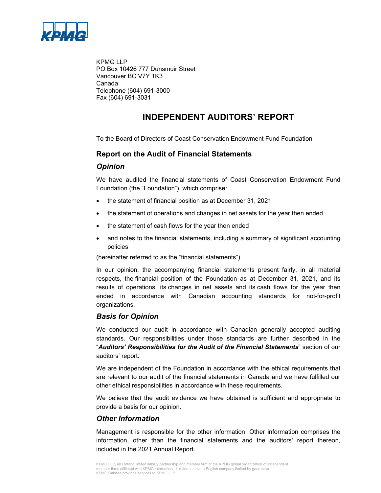

KPMG LLP PO Box 10426 777 Dunsmuir Street Vancouver BC V7Y 1K3 Canada Telephone (604) 691-3000 Fax (604) 691-3031

# **INDEPENDENT AUDITORS' REPORT**

To the Board of Directors of Coast Conservation Endowment Fund Foundation

### **Report on the Audit of Financial Statements**

### *Opinion*

We have audited the financial statements of Coast Conservation Endowment Fund Foundation (the "Foundation"), which comprise:

- the statement of financial position as at December 31, 2021
- the statement of operations and changes in net assets for the year then ended
- the statement of cash flows for the year then ended
- and notes to the financial statements, including a summary of significant accounting policies

(hereinafter referred to as the "financial statements").

In our opinion, the accompanying financial statements present fairly, in all material respects, the financial position of the Foundation as at December 31, 2021, and its results of operations, its changes in net assets and its cash flows for the year then ended in accordance with Canadian accounting standards for not-for-profit organizations.

### *Basis for Opinion*

We conducted our audit in accordance with Canadian generally accepted auditing standards. Our responsibilities under those standards are further described in the "*Auditors' Responsibilities for the Audit of the Financial Statements*" section of our auditors' report.

We are independent of the Foundation in accordance with the ethical requirements that are relevant to our audit of the financial statements in Canada and we have fulfilled our other ethical responsibilities in accordance with these requirements.

We believe that the audit evidence we have obtained is sufficient and appropriate to provide a basis for our opinion.

### *Other Information*

Management is responsible for the other information. Other information comprises the information, other than the financial statements and the auditors' report thereon, included in the 2021 Annual Report.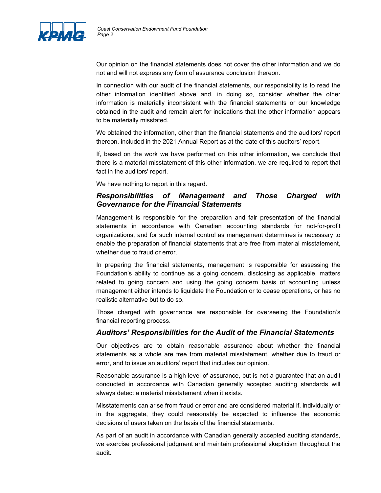

Our opinion on the financial statements does not cover the other information and we do not and will not express any form of assurance conclusion thereon.

In connection with our audit of the financial statements, our responsibility is to read the other information identified above and, in doing so, consider whether the other information is materially inconsistent with the financial statements or our knowledge obtained in the audit and remain alert for indications that the other information appears to be materially misstated.

We obtained the information, other than the financial statements and the auditors' report thereon, included in the 2021 Annual Report as at the date of this auditors' report.

If, based on the work we have performed on this other information, we conclude that there is a material misstatement of this other information, we are required to report that fact in the auditors' report.

We have nothing to report in this regard.

### *Responsibilities of Management and Those Charged with Governance for the Financial Statements*

Management is responsible for the preparation and fair presentation of the financial statements in accordance with Canadian accounting standards for not-for-profit organizations, and for such internal control as management determines is necessary to enable the preparation of financial statements that are free from material misstatement, whether due to fraud or error.

In preparing the financial statements, management is responsible for assessing the Foundation's ability to continue as a going concern, disclosing as applicable, matters related to going concern and using the going concern basis of accounting unless management either intends to liquidate the Foundation or to cease operations, or has no realistic alternative but to do so.

Those charged with governance are responsible for overseeing the Foundation's financial reporting process.

### *Auditors' Responsibilities for the Audit of the Financial Statements*

Our objectives are to obtain reasonable assurance about whether the financial statements as a whole are free from material misstatement, whether due to fraud or error, and to issue an auditors' report that includes our opinion.

Reasonable assurance is a high level of assurance, but is not a guarantee that an audit conducted in accordance with Canadian generally accepted auditing standards will always detect a material misstatement when it exists.

Misstatements can arise from fraud or error and are considered material if, individually or in the aggregate, they could reasonably be expected to influence the economic decisions of users taken on the basis of the financial statements.

As part of an audit in accordance with Canadian generally accepted auditing standards, we exercise professional judgment and maintain professional skepticism throughout the audit.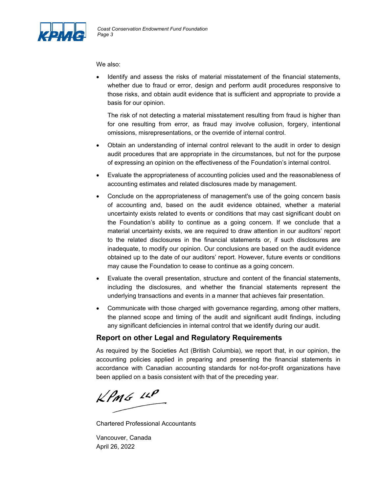

We also:

 Identify and assess the risks of material misstatement of the financial statements, whether due to fraud or error, design and perform audit procedures responsive to those risks, and obtain audit evidence that is sufficient and appropriate to provide a basis for our opinion.

The risk of not detecting a material misstatement resulting from fraud is higher than for one resulting from error, as fraud may involve collusion, forgery, intentional omissions, misrepresentations, or the override of internal control.

- Obtain an understanding of internal control relevant to the audit in order to design audit procedures that are appropriate in the circumstances, but not for the purpose of expressing an opinion on the effectiveness of the Foundation's internal control.
- Evaluate the appropriateness of accounting policies used and the reasonableness of accounting estimates and related disclosures made by management.
- Conclude on the appropriateness of management's use of the going concern basis of accounting and, based on the audit evidence obtained, whether a material uncertainty exists related to events or conditions that may cast significant doubt on the Foundation's ability to continue as a going concern. If we conclude that a material uncertainty exists, we are required to draw attention in our auditors' report to the related disclosures in the financial statements or, if such disclosures are inadequate, to modify our opinion. Our conclusions are based on the audit evidence obtained up to the date of our auditors' report. However, future events or conditions may cause the Foundation to cease to continue as a going concern.
- Evaluate the overall presentation, structure and content of the financial statements, including the disclosures, and whether the financial statements represent the underlying transactions and events in a manner that achieves fair presentation.
- Communicate with those charged with governance regarding, among other matters, the planned scope and timing of the audit and significant audit findings, including any significant deficiencies in internal control that we identify during our audit.

### **Report on other Legal and Regulatory Requirements**

As required by the Societies Act (British Columbia), we report that, in our opinion, the accounting policies applied in preparing and presenting the financial statements in accordance with Canadian accounting standards for not-for-profit organizations have been applied on a basis consistent with that of the preceding year.

 $kPMS$  11P

Chartered Professional Accountants

Vancouver, Canada April 26, 2022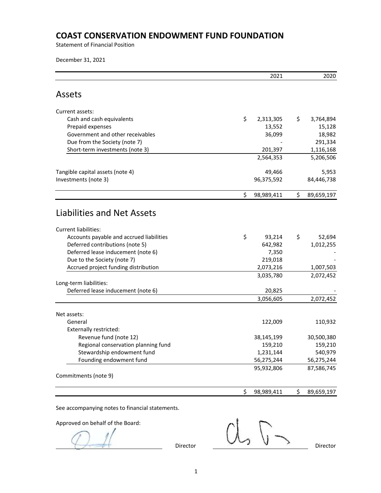Statement of Financial Position

December 31, 2021

|                                          | 2021             | 2020             |
|------------------------------------------|------------------|------------------|
| <b>Assets</b>                            |                  |                  |
| Current assets:                          |                  |                  |
| Cash and cash equivalents                | \$<br>2,313,305  | \$<br>3,764,894  |
| Prepaid expenses                         | 13,552           | 15,128           |
| Government and other receivables         | 36,099           | 18,982           |
| Due from the Society (note 7)            |                  | 291,334          |
| Short-term investments (note 3)          | 201,397          | 1,116,168        |
|                                          | 2,564,353        | 5,206,506        |
| Tangible capital assets (note 4)         | 49,466           | 5,953            |
| Investments (note 3)                     | 96,375,592       | 84,446,738       |
|                                          | \$<br>98,989,411 | \$<br>89,659,197 |
| <b>Liabilities and Net Assets</b>        |                  |                  |
| Current liabilities:                     |                  |                  |
| Accounts payable and accrued liabilities | \$<br>93,214     | \$<br>52,694     |
| Deferred contributions (note 5)          | 642,982          | 1,012,255        |
| Deferred lease inducement (note 6)       | 7,350            |                  |
| Due to the Society (note 7)              | 219,018          |                  |
| Accrued project funding distribution     | 2,073,216        | 1,007,503        |
|                                          | 3,035,780        | 2,072,452        |
| Long-term liabilities:                   |                  |                  |
| Deferred lease inducement (note 6)       | 20,825           |                  |
|                                          | 3,056,605        | 2,072,452        |
| Net assets:                              |                  |                  |
| General                                  | 122,009          | 110,932          |
| <b>Externally restricted:</b>            |                  |                  |
| Revenue fund (note 12)                   | 38,145,199       | 30,500,380       |
| Regional conservation planning fund      | 159,210          | 159,210          |
| Stewardship endowment fund               | 1,231,144        | 540,979          |
| Founding endowment fund                  | 56,275,244       | 56,275,244       |
|                                          | 95,932,806       | 87,586,745       |
| Commitments (note 9)                     |                  |                  |
|                                          | \$<br>98,989,411 | \$<br>89,659,197 |

See accompanying notes to financial statements.

Approved on behalf of the Board:

 $Director$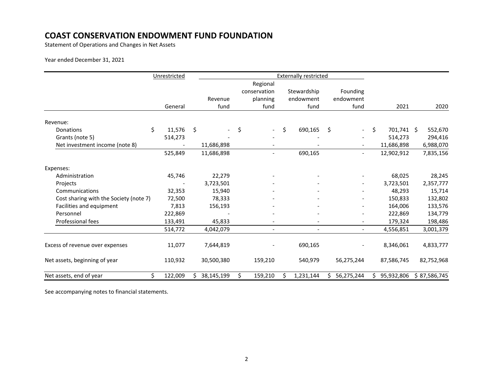Statement of Operations and Changes in Net Assets

#### Year ended December 31, 2021

|                                        | Unrestricted  |                     |            |                          |    | <b>Externally restricted</b> |     |                          |                  |              |
|----------------------------------------|---------------|---------------------|------------|--------------------------|----|------------------------------|-----|--------------------------|------------------|--------------|
|                                        |               |                     |            | Regional                 |    |                              |     |                          |                  |              |
|                                        |               |                     |            | conservation             |    | Stewardship                  |     | Founding                 |                  |              |
|                                        |               |                     | Revenue    | planning                 |    | endowment                    |     | endowment                |                  |              |
|                                        | General       |                     | fund       | fund                     |    | fund                         |     | fund                     | 2021             | 2020         |
| Revenue:                               |               |                     |            |                          |    |                              |     |                          |                  |              |
| Donations                              | \$<br>11,576  | $\ddot{\mathsf{S}}$ |            | \$                       | \$ | 690,165                      | -\$ | $\sim$                   | \$<br>701,741 \$ | 552,670      |
| Grants (note 5)                        | 514,273       |                     |            |                          |    |                              |     |                          | 514,273          | 294,416      |
| Net investment income (note 8)         |               |                     | 11,686,898 |                          |    |                              |     |                          | 11,686,898       | 6,988,070    |
|                                        | 525,849       |                     | 11,686,898 | $\overline{\phantom{a}}$ |    | 690,165                      |     | $\overline{\phantom{a}}$ | 12,902,912       | 7,835,156    |
| Expenses:                              |               |                     |            |                          |    |                              |     |                          |                  |              |
| Administration                         | 45,746        |                     | 22,279     |                          |    |                              |     |                          | 68,025           | 28,245       |
| Projects                               |               |                     | 3,723,501  |                          |    |                              |     |                          | 3,723,501        | 2,357,777    |
| Communications                         | 32,353        |                     | 15,940     |                          |    |                              |     |                          | 48,293           | 15,714       |
| Cost sharing with the Society (note 7) | 72,500        |                     | 78,333     |                          |    |                              |     |                          | 150,833          | 132,802      |
| Facilities and equipment               | 7,813         |                     | 156,193    |                          |    |                              |     |                          | 164,006          | 133,576      |
| Personnel                              | 222,869       |                     |            |                          |    |                              |     |                          | 222,869          | 134,779      |
| Professional fees                      | 133,491       |                     | 45,833     |                          |    |                              |     |                          | 179,324          | 198,486      |
|                                        | 514,772       |                     | 4,042,079  | $\overline{\phantom{a}}$ |    |                              |     |                          | 4,556,851        | 3,001,379    |
| Excess of revenue over expenses        | 11,077        |                     | 7,644,819  |                          |    | 690,165                      |     |                          | 8,346,061        | 4,833,777    |
| Net assets, beginning of year          | 110,932       |                     | 30,500,380 | 159,210                  |    | 540,979                      |     | 56,275,244               | 87,586,745       | 82,752,968   |
| Net assets, end of year                | \$<br>122,009 |                     | 38,145,199 | \$<br>159,210            | S  | 1,231,144                    |     | 56,275,244               | 95,932,806       | \$87,586,745 |

See accompanying notes to financial statements.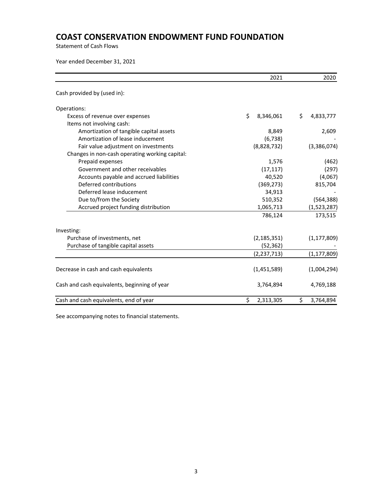Statement of Cash Flows

Year ended December 31, 2021

|                                                | 2021            | 2020            |
|------------------------------------------------|-----------------|-----------------|
| Cash provided by (used in):                    |                 |                 |
| Operations:                                    |                 |                 |
| Excess of revenue over expenses                | Ś.<br>8,346,061 | Ś.<br>4,833,777 |
| Items not involving cash:                      |                 |                 |
| Amortization of tangible capital assets        | 8,849           | 2,609           |
| Amortization of lease inducement               | (6, 738)        |                 |
| Fair value adjustment on investments           | (8,828,732)     | (3,386,074)     |
| Changes in non-cash operating working capital: |                 |                 |
| Prepaid expenses                               | 1,576           | (462)           |
| Government and other receivables               | (17, 117)       | (297)           |
| Accounts payable and accrued liabilities       | 40,520          | (4,067)         |
| Deferred contributions                         | (369, 273)      | 815,704         |
| Deferred lease inducement                      | 34,913          |                 |
| Due to/from the Society                        | 510,352         | (564, 388)      |
| Accrued project funding distribution           | 1,065,713       | (1,523,287)     |
|                                                | 786,124         | 173,515         |
| Investing:                                     |                 |                 |
| Purchase of investments, net                   | (2, 185, 351)   | (1, 177, 809)   |
| Purchase of tangible capital assets            | (52, 362)       |                 |
|                                                | (2, 237, 713)   | (1, 177, 809)   |
| Decrease in cash and cash equivalents          | (1,451,589)     | (1,004,294)     |
| Cash and cash equivalents, beginning of year   | 3,764,894       | 4,769,188       |
| Cash and cash equivalents, end of year         | \$<br>2,313,305 | \$<br>3,764,894 |

See accompanying notes to financial statements.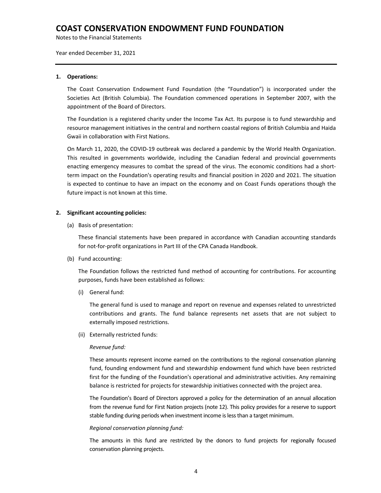Notes to the Financial Statements

Year ended December 31, 2021

#### **1. Operations:**

The Coast Conservation Endowment Fund Foundation (the "Foundation") is incorporated under the Societies Act (British Columbia). The Foundation commenced operations in September 2007, with the appointment of the Board of Directors.

The Foundation is a registered charity under the Income Tax Act. Its purpose is to fund stewardship and resource management initiatives in the central and northern coastal regions of British Columbia and Haida Gwaii in collaboration with First Nations.

On March 11, 2020, the COVID‐19 outbreak was declared a pandemic by the World Health Organization. This resulted in governments worldwide, including the Canadian federal and provincial governments enacting emergency measures to combat the spread of the virus. The economic conditions had a shortterm impact on the Foundation's operating results and financial position in 2020 and 2021. The situation is expected to continue to have an impact on the economy and on Coast Funds operations though the future impact is not known at this time.

#### **2. Significant accounting policies:**

(a) Basis of presentation:

These financial statements have been prepared in accordance with Canadian accounting standards for not-for-profit organizations in Part III of the CPA Canada Handbook.

(b) Fund accounting:

The Foundation follows the restricted fund method of accounting for contributions. For accounting purposes, funds have been established as follows:

(i) General fund:

The general fund is used to manage and report on revenue and expenses related to unrestricted contributions and grants. The fund balance represents net assets that are not subject to externally imposed restrictions.

(ii) Externally restricted funds:

#### *Revenue fund:*

These amounts represent income earned on the contributions to the regional conservation planning fund, founding endowment fund and stewardship endowment fund which have been restricted first for the funding of the Foundation's operational and administrative activities. Any remaining balance is restricted for projects for stewardship initiatives connected with the project area.

The Foundation's Board of Directors approved a policy for the determination of an annual allocation from the revenue fund for First Nation projects (note 12). This policy provides for a reserve to support stable funding during periods when investment income islessthan a target minimum.

#### *Regional conservation planning fund:*

The amounts in this fund are restricted by the donors to fund projects for regionally focused conservation planning projects.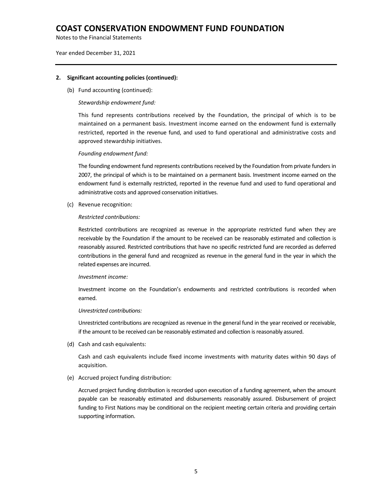Notes to the Financial Statements

Year ended December 31, 2021

#### **2. Significant accounting policies (continued):**

(b) Fund accounting (continued):

#### *Stewardship endowment fund:*

This fund represents contributions received by the Foundation, the principal of which is to be maintained on a permanent basis. Investment income earned on the endowment fund is externally restricted, reported in the revenue fund, and used to fund operational and administrative costs and approved stewardship initiatives.

#### *Founding endowment fund:*

The founding endowment fund represents contributions received by the Foundation from private funders in 2007, the principal of which is to be maintained on a permanent basis. Investment income earned on the endowment fund is externally restricted, reported in the revenue fund and used to fund operational and administrative costs and approved conservation initiatives.

(c) Revenue recognition:

#### *Restricted contributions:*

Restricted contributions are recognized as revenue in the appropriate restricted fund when they are receivable by the Foundation if the amount to be received can be reasonably estimated and collection is reasonably assured. Restricted contributions that have no specific restricted fund are recorded as deferred contributions in the general fund and recognized as revenue in the general fund in the year in which the related expenses are incurred.

#### *Investment income:*

Investment income on the Foundation's endowments and restricted contributions is recorded when earned.

#### *Unrestricted contributions:*

Unrestricted contributions are recognized as revenue in the general fund in the year received or receivable, if the amount to be received can be reasonably estimated and collection isreasonably assured.

(d) Cash and cash equivalents:

Cash and cash equivalents include fixed income investments with maturity dates within 90 days of acquisition.

#### (e) Accrued project funding distribution:

Accrued project funding distribution is recorded upon execution of a funding agreement, when the amount payable can be reasonably estimated and disbursements reasonably assured. Disbursement of project funding to First Nations may be conditional on the recipient meeting certain criteria and providing certain supporting information.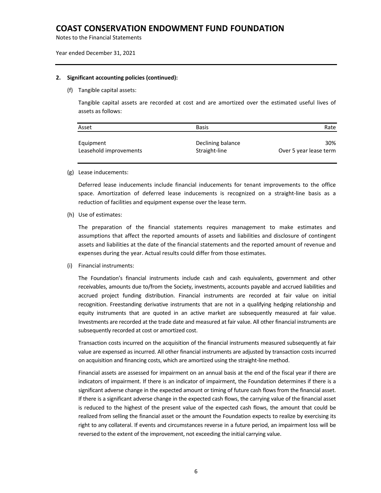Notes to the Financial Statements

#### Year ended December 31, 2021

#### **2. Significant accounting policies (continued):**

#### (f) Tangible capital assets:

Tangible capital assets are recorded at cost and are amortized over the estimated useful lives of assets as follows:

| Asset                  | <b>Basis</b>      | Rate                   |
|------------------------|-------------------|------------------------|
| Equipment              | Declining balance | 30%                    |
| Leasehold improvements | Straight-line     | Over 5 year lease term |

#### (g) Lease inducements:

Deferred lease inducements include financial inducements for tenant improvements to the office space. Amortization of deferred lease inducements is recognized on a straight‐line basis as a reduction of facilities and equipment expense over the lease term.

(h) Use of estimates:

The preparation of the financial statements requires management to make estimates and assumptions that affect the reported amounts of assets and liabilities and disclosure of contingent assets and liabilities at the date of the financial statements and the reported amount of revenue and expenses during the year. Actual results could differ from those estimates.

(i) Financial instruments:

The Foundation's financial instruments include cash and cash equivalents, government and other receivables, amounts due to/from the Society, investments, accounts payable and accrued liabilities and accrued project funding distribution. Financial instruments are recorded at fair value on initial recognition. Freestanding derivative instruments that are not in a qualifying hedging relationship and equity instruments that are quoted in an active market are subsequently measured at fair value. Investments are recorded at the trade date and measured at fair value. All other financial instruments are subsequently recorded at cost or amortized cost.

Transaction costs incurred on the acquisition of the financial instruments measured subsequently at fair value are expensed as incurred. All other financial instruments are adjusted by transaction costs incurred on acquisition and financing costs, which are amortized using the straight‐line method.

Financial assets are assessed for impairment on an annual basis at the end of the fiscal year if there are indicators of impairment. If there is an indicator of impairment, the Foundation determines if there is a significant adverse change in the expected amount or timing of future cash flows from the financial asset. If there is a significant adverse change in the expected cash flows, the carrying value of the financial asset is reduced to the highest of the present value of the expected cash flows, the amount that could be realized from selling the financial asset or the amount the Foundation expects to realize by exercising its right to any collateral. If events and circumstances reverse in a future period, an impairment loss will be reversed to the extent of the improvement, not exceeding the initial carrying value.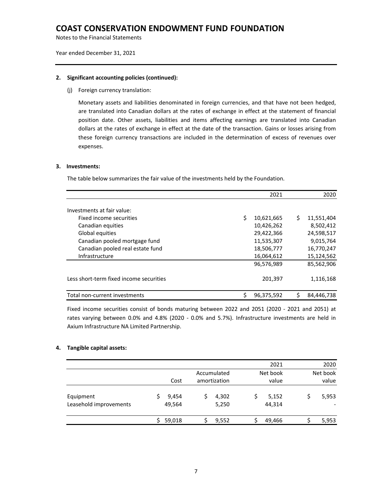Notes to the Financial Statements

Year ended December 31, 2021

#### **2. Significant accounting policies (continued):**

(j) Foreign currency translation:

Monetary assets and liabilities denominated in foreign currencies, and that have not been hedged, are translated into Canadian dollars at the rates of exchange in effect at the statement of financial position date. Other assets, liabilities and items affecting earnings are translated into Canadian dollars at the rates of exchange in effect at the date of the transaction. Gains or losses arising from these foreign currency transactions are included in the determination of excess of revenues over expenses.

#### **3. Investments:**

The table below summarizes the fair value of the investments held by the Foundation.

|                                         |   | 2021       |    | 2020       |
|-----------------------------------------|---|------------|----|------------|
| Investments at fair value:              |   |            |    |            |
| Fixed income securities                 | Ś | 10,621,665 | Ś. | 11,551,404 |
| Canadian equities                       |   | 10,426,262 |    | 8,502,412  |
| Global equities                         |   | 29,422,366 |    | 24,598,517 |
| Canadian pooled mortgage fund           |   | 11,535,307 |    | 9,015,764  |
| Canadian pooled real estate fund        |   | 18,506,777 |    | 16,770,247 |
| Infrastructure                          |   | 16,064,612 |    | 15,124,562 |
|                                         |   | 96,576,989 |    | 85,562,906 |
| Less short-term fixed income securities |   | 201,397    |    | 1,116,168  |
| Total non-current investments           | ς | 96,375,592 | Ś  | 84,446,738 |

Fixed income securities consist of bonds maturing between 2022 and 2051 (2020 - 2021 and 2051) at rates varying between 0.0% and 4.8% (2020 - 0.0% and 5.7%). Infrastructure investments are held in Axium Infrastructure NA Limited Partnership.

#### **4. Tangible capital assets:**

|                                     |                 |                             | 2021              | 2020              |
|-------------------------------------|-----------------|-----------------------------|-------------------|-------------------|
|                                     | Cost            | Accumulated<br>amortization | Net book<br>value | Net book<br>value |
| Equipment<br>Leasehold improvements | 9,454<br>49,564 | 4,302<br>5,250              | 5,152<br>44,314   | 5,953             |
|                                     | 59,018          | 9,552                       | 49,466            | 5,953             |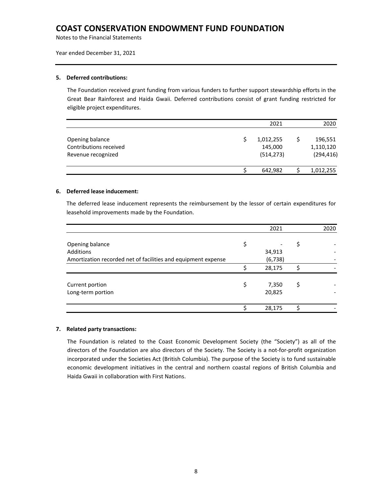Notes to the Financial Statements

Year ended December 31, 2021

#### **5. Deferred contributions:**

The Foundation received grant funding from various funders to further support stewardship efforts in the Great Bear Rainforest and Haida Gwaii. Deferred contributions consist of grant funding restricted for eligible project expenditures.

|                                                                 | 2021                               | 2020                               |
|-----------------------------------------------------------------|------------------------------------|------------------------------------|
| Opening balance<br>Contributions received<br>Revenue recognized | 1,012,255<br>145,000<br>(514, 273) | 196,551<br>1,110,120<br>(294, 416) |
|                                                                 | 642,982                            | 1,012,255                          |

#### **6. Deferred lease inducement:**

The deferred lease inducement represents the reimbursement by the lessor of certain expenditures for leasehold improvements made by the Foundation.

|                                                               |    | 2021     | 2020 |
|---------------------------------------------------------------|----|----------|------|
|                                                               |    |          |      |
| Opening balance                                               | \$ |          | \$   |
| Additions                                                     |    | 34,913   |      |
| Amortization recorded net of facilities and equipment expense |    | (6, 738) |      |
|                                                               | ς  | 28,175   |      |
|                                                               |    |          |      |
| Current portion                                               | \$ | 7,350    | \$   |
| Long-term portion                                             |    | 20,825   |      |
|                                                               |    |          |      |
|                                                               |    | 28,175   |      |

#### **7. Related party transactions:**

The Foundation is related to the Coast Economic Development Society (the "Society") as all of the directors of the Foundation are also directors of the Society. The Society is a not‐for‐profit organization incorporated under the Societies Act (British Columbia). The purpose of the Society is to fund sustainable economic development initiatives in the central and northern coastal regions of British Columbia and Haida Gwaii in collaboration with First Nations.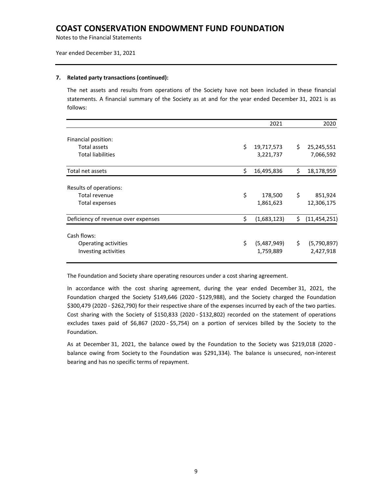Notes to the Financial Statements

Year ended December 31, 2021

#### **7. Related party transactions (continued):**

The net assets and results from operations of the Society have not been included in these financial statements. A financial summary of the Society as at and for the year ended December 31, 2021 is as follows:

|                                                                 | 2021                           |     | 2020                     |
|-----------------------------------------------------------------|--------------------------------|-----|--------------------------|
| Financial position:<br>Total assets<br><b>Total liabilities</b> | \$<br>19,717,573<br>3,221,737  | \$. | 25,245,551<br>7,066,592  |
| Total net assets                                                | \$<br>16,495,836               | \$  | 18,178,959               |
| Results of operations:<br>Total revenue<br>Total expenses       | \$<br>178,500<br>1,861,623     | \$  | 851,924<br>12,306,175    |
| Deficiency of revenue over expenses                             | \$<br>(1,683,123)              | \$  | (11, 454, 251)           |
| Cash flows:<br>Operating activities<br>Investing activities     | \$<br>(5,487,949)<br>1,759,889 | \$  | (5,790,897)<br>2,427,918 |

The Foundation and Society share operating resources under a cost sharing agreement.

In accordance with the cost sharing agreement, during the year ended December 31, 2021, the Foundation charged the Society \$149,646 (2020 ‐ \$129,988), and the Society charged the Foundation \$300,479 (2020 ‐ \$262,790) for their respective share of the expenses incurred by each of the two parties. Cost sharing with the Society of \$150,833 (2020 ‐ \$132,802) recorded on the statement of operations excludes taxes paid of \$6,867 (2020 ‐ \$5,754) on a portion of services billed by the Society to the Foundation.

As at December 31, 2021, the balance owed by the Foundation to the Society was \$219,018 (2020 ‐ balance owing from Society to the Foundation was \$291,334). The balance is unsecured, non‐interest bearing and has no specific terms of repayment.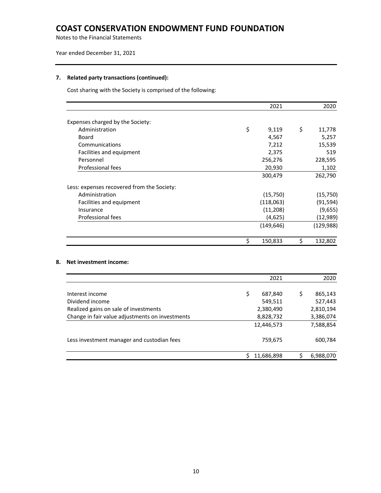Notes to the Financial Statements

Year ended December 31, 2021

#### **7. Related party transactions (continued):**

Cost sharing with the Society is comprised of the following:

|                                            | 2021          | 2020          |
|--------------------------------------------|---------------|---------------|
| Expenses charged by the Society:           |               |               |
| Administration                             | \$<br>9,119   | \$<br>11,778  |
| Board                                      | 4,567         | 5,257         |
| Communications                             | 7,212         | 15,539        |
| Facilities and equipment                   | 2,375         | 519           |
| Personnel                                  | 256,276       | 228,595       |
| Professional fees                          | 20,930        | 1,102         |
|                                            | 300,479       | 262,790       |
| Less: expenses recovered from the Society: |               |               |
| Administration                             | (15,750)      | (15, 750)     |
| Facilities and equipment                   | (118,063)     | (91, 594)     |
| Insurance                                  | (11,208)      | (9,655)       |
| Professional fees                          | (4,625)       | (12, 989)     |
|                                            | (149, 646)    | (129, 988)    |
|                                            | \$<br>150,833 | \$<br>132,802 |

### **8. Net investment income:**

|                                                 | 2021          | 2020          |
|-------------------------------------------------|---------------|---------------|
| Interest income                                 | \$<br>687,840 | \$<br>865,143 |
| Dividend income                                 | 549,511       | 527,443       |
| Realized gains on sale of investments           | 2,380,490     | 2,810,194     |
| Change in fair value adjustments on investments | 8,828,732     | 3,386,074     |
|                                                 | 12,446,573    | 7,588,854     |
| Less investment manager and custodian fees      | 759,675       | 600,784       |
|                                                 | 11,686,898    | 6,988,070     |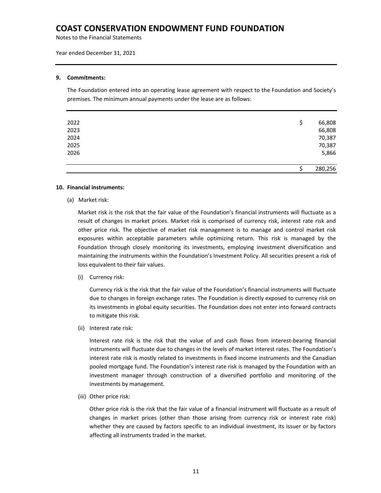Notes to the Financial Statements

Year ended December 31, 2021

#### **9. Commitments:**

The Foundation entered into an operating lease agreement with respect to the Foundation and Society's premises. The minimum annual payments under the lease are as follows:

| 2022 | S | 66,808  |
|------|---|---------|
| 2023 |   | 66,808  |
| 2024 |   | 70,387  |
| 2025 |   | 70,387  |
| 2026 |   | 5,866   |
|      |   | 280,256 |

#### **10. Financial instruments:**

(a) Market risk:

Market risk is the risk that the fair value of the Foundation's financial instruments will fluctuate as a result of changes in market prices. Market risk is comprised of currency risk, interest rate risk and other price risk. The objective of market risk management is to manage and control market risk exposures within acceptable parameters while optimizing return. This risk is managed by the Foundation through closely monitoring its investments, employing investment diversification and maintaining the instruments within the Foundation's Investment Policy. All securities present a risk of loss equivalent to their fair values.

(i) Currency risk:

Currency risk is the risk that the fair value of the Foundation's financial instruments will fluctuate due to changes in foreign exchange rates. The Foundation is directly exposed to currency risk on its investments in global equity securities. The Foundation does not enter into forward contracts to mitigate this risk.

(ii) Interest rate risk:

Interest rate risk is the risk that the value of and cash flows from interest-bearing financial instruments will fluctuate due to changes in the levels of market interest rates. The Foundation's interest rate risk is mostly related to investments in fixed income instruments and the Canadian pooled mortgage fund. The Foundation's interest rate risk is managed by the Foundation with an investment manager through construction of a diversified portfolio and monitoring of the investments by management.

(iii) Other price risk:

Other price risk is the risk that the fair value of a financial instrument will fluctuate as a result of changes in market prices (other than those arising from currency risk or interest rate risk) whether they are caused by factors specific to an individual investment, its issuer or by factors affecting all instruments traded in the market.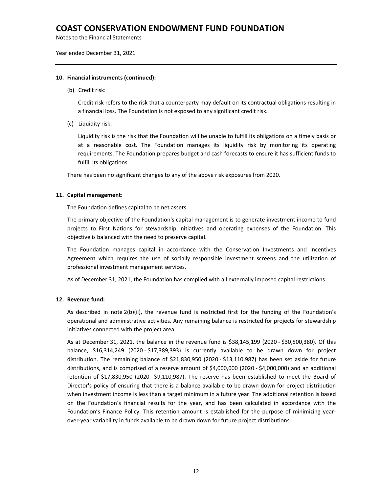Notes to the Financial Statements

Year ended December 31, 2021

#### **10. Financial instruments (continued):**

(b) Credit risk:

Credit risk refers to the risk that a counterparty may default on its contractual obligations resulting in a financial loss. The Foundation is not exposed to any significant credit risk.

(c) Liquidity risk:

Liquidity risk is the risk that the Foundation will be unable to fulfill its obligations on a timely basis or at a reasonable cost. The Foundation manages its liquidity risk by monitoring its operating requirements. The Foundation prepares budget and cash forecasts to ensure it has sufficient funds to fulfill its obligations.

There has been no significant changes to any of the above risk exposures from 2020.

#### **11. Capital management:**

The Foundation defines capital to be net assets.

The primary objective of the Foundation's capital management is to generate investment income to fund projects to First Nations for stewardship initiatives and operating expenses of the Foundation. This objective is balanced with the need to preserve capital.

The Foundation manages capital in accordance with the Conservation Investments and Incentives Agreement which requires the use of socially responsible investment screens and the utilization of professional investment management services.

As of December 31, 2021, the Foundation has complied with all externally imposed capital restrictions.

#### **12. Revenue fund:**

As described in note 2(b)(ii), the revenue fund is restricted first for the funding of the Foundation's operational and administrative activities. Any remaining balance is restricted for projects for stewardship initiatives connected with the project area.

As at December 31, 2021, the balance in the revenue fund is \$38,145,199 (2020 ‐ \$30,500,380). Of this balance, \$16,314,249 (2020 ‐ \$17,389,393) is currently available to be drawn down for project distribution. The remaining balance of \$21,830,950 (2020 ‐ \$13,110,987) has been set aside for future distributions, and is comprised of a reserve amount of \$4,000,000 (2020 ‐ \$4,000,000) and an additional retention of \$17,830,950 (2020 ‐ \$9,110,987). The reserve has been established to meet the Board of Director's policy of ensuring that there is a balance available to be drawn down for project distribution when investment income is less than a target minimum in a future year. The additional retention is based on the Foundation's financial results for the year, and has been calculated in accordance with the Foundation's Finance Policy. This retention amount is established for the purpose of minimizing year‐ over‐year variability in funds available to be drawn down for future project distributions.